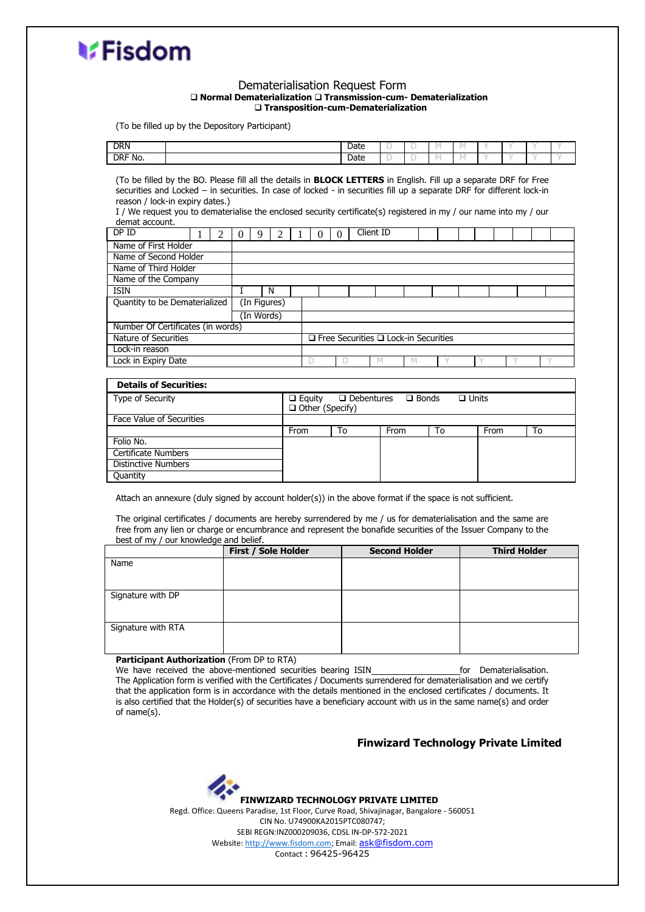

**Quantity** 

#### Dematerialisation Request Form ❑ **Normal Dematerialization** ❑ **Transmission-cum- Dematerialization** ❑ **Transposition-cum-Dematerialization**

(To be filled up by the Depository Participant)

| <b>DRN</b>                                                                                                                                                                                                                                                                                                                                                                                                                                |                       |                                 |                                                                                              |          |    | Date |      |  | M  | M |      |  |    |  |  |
|-------------------------------------------------------------------------------------------------------------------------------------------------------------------------------------------------------------------------------------------------------------------------------------------------------------------------------------------------------------------------------------------------------------------------------------------|-----------------------|---------------------------------|----------------------------------------------------------------------------------------------|----------|----|------|------|--|----|---|------|--|----|--|--|
| DRF No.                                                                                                                                                                                                                                                                                                                                                                                                                                   |                       |                                 |                                                                                              |          |    | Date |      |  | М  | M |      |  |    |  |  |
| (To be filled by the BO. Please fill all the details in <b>BLOCK LETTERS</b> in English. Fill up a separate DRF for Free<br>securities and Locked - in securities. In case of locked - in securities fill up a separate DRF for different lock-in<br>reason / lock-in expiry dates.)<br>I / We request you to dematerialise the enclosed security certificate(s) registered in my / our name into my / our<br>demat account.<br>Client ID |                       |                                 |                                                                                              |          |    |      |      |  |    |   |      |  |    |  |  |
| DPID                                                                                                                                                                                                                                                                                                                                                                                                                                      | 2                     | 9<br>$\mathfrak{D}$<br>$\Omega$ |                                                                                              | $\Omega$ | 0  |      |      |  |    |   |      |  |    |  |  |
| Name of First Holder                                                                                                                                                                                                                                                                                                                                                                                                                      |                       |                                 |                                                                                              |          |    |      |      |  |    |   |      |  |    |  |  |
| Name of Second Holder                                                                                                                                                                                                                                                                                                                                                                                                                     |                       |                                 |                                                                                              |          |    |      |      |  |    |   |      |  |    |  |  |
| Name of Third Holder                                                                                                                                                                                                                                                                                                                                                                                                                      |                       |                                 |                                                                                              |          |    |      |      |  |    |   |      |  |    |  |  |
| Name of the Company                                                                                                                                                                                                                                                                                                                                                                                                                       |                       |                                 |                                                                                              |          |    |      |      |  |    |   |      |  |    |  |  |
|                                                                                                                                                                                                                                                                                                                                                                                                                                           | <b>TSTN</b><br>N<br>T |                                 |                                                                                              |          |    |      |      |  |    |   |      |  |    |  |  |
| (In Figures)<br>Quantity to be Dematerialized                                                                                                                                                                                                                                                                                                                                                                                             |                       |                                 |                                                                                              |          |    |      |      |  |    |   |      |  |    |  |  |
|                                                                                                                                                                                                                                                                                                                                                                                                                                           |                       | (In Words)                      |                                                                                              |          |    |      |      |  |    |   |      |  |    |  |  |
| Number Of Certificates (in words)                                                                                                                                                                                                                                                                                                                                                                                                         |                       |                                 |                                                                                              |          |    |      |      |  |    |   |      |  |    |  |  |
| Nature of Securities                                                                                                                                                                                                                                                                                                                                                                                                                      |                       |                                 | $\Box$ Free Securities $\Box$ Lock-in Securities                                             |          |    |      |      |  |    |   |      |  |    |  |  |
| Lock-in reason                                                                                                                                                                                                                                                                                                                                                                                                                            |                       |                                 |                                                                                              |          |    |      |      |  |    |   |      |  |    |  |  |
| Lock in Expiry Date                                                                                                                                                                                                                                                                                                                                                                                                                       |                       |                                 | D                                                                                            | D        |    | M    | M    |  |    |   |      |  |    |  |  |
|                                                                                                                                                                                                                                                                                                                                                                                                                                           |                       |                                 |                                                                                              |          |    |      |      |  |    |   |      |  |    |  |  |
| <b>Details of Securities:</b>                                                                                                                                                                                                                                                                                                                                                                                                             |                       |                                 |                                                                                              |          |    |      |      |  |    |   |      |  |    |  |  |
| Type of Security                                                                                                                                                                                                                                                                                                                                                                                                                          |                       |                                 | $\Box$ Debentures<br>$\Box$ Bonds<br>$\Box$ Units<br>$\Box$ Equity<br>$\Box$ Other (Specify) |          |    |      |      |  |    |   |      |  |    |  |  |
| Face Value of Securities                                                                                                                                                                                                                                                                                                                                                                                                                  |                       |                                 |                                                                                              |          |    |      |      |  |    |   |      |  |    |  |  |
|                                                                                                                                                                                                                                                                                                                                                                                                                                           |                       |                                 | From                                                                                         |          | To |      | From |  | To |   | From |  | To |  |  |
| Folio No.                                                                                                                                                                                                                                                                                                                                                                                                                                 |                       |                                 |                                                                                              |          |    |      |      |  |    |   |      |  |    |  |  |
| Certificate Numbers                                                                                                                                                                                                                                                                                                                                                                                                                       |                       |                                 |                                                                                              |          |    |      |      |  |    |   |      |  |    |  |  |
| <b>Distinctive Numbers</b>                                                                                                                                                                                                                                                                                                                                                                                                                |                       |                                 |                                                                                              |          |    |      |      |  |    |   |      |  |    |  |  |

Attach an annexure (duly signed by account holder(s)) in the above format if the space is not sufficient.

The original certificates / documents are hereby surrendered by me / us for dematerialisation and the same are free from any lien or charge or encumbrance and represent the bonafide securities of the Issuer Company to the best of my / our knowledge and belief.

|                    | First / Sole Holder | <b>Second Holder</b> | <b>Third Holder</b> |
|--------------------|---------------------|----------------------|---------------------|
| Name               |                     |                      |                     |
| Signature with DP  |                     |                      |                     |
| Signature with RTA |                     |                      |                     |

**Participant Authorization** (From DP to RTA)

We have received the above-mentioned securities bearing ISIN for Dematerialisation. The Application form is verified with the Certificates / Documents surrendered for dematerialisation and we certify that the application form is in accordance with the details mentioned in the enclosed certificates / documents. It is also certified that the Holder(s) of securities have a beneficiary account with us in the same name(s) and order of name(s).

### **Finwizard Technology Private Limited**

**FINWIZARD TECHNOLOGY PRIVATE LIMITED** Regd. Office: Queens Paradise, 1st Floor, Curve Road, Shivajinagar, Bangalore - 560051 CIN No. U74900KA2015PTC080747; SEBI REGN:INZ000209036, CDSL IN-DP-572-2021 Website[: http://www.fisdom.com;](http://www.fisdom.com/) Email: [ask@fisdom.com](mailto:ask@fisdom.com) Contact : 96425-96425